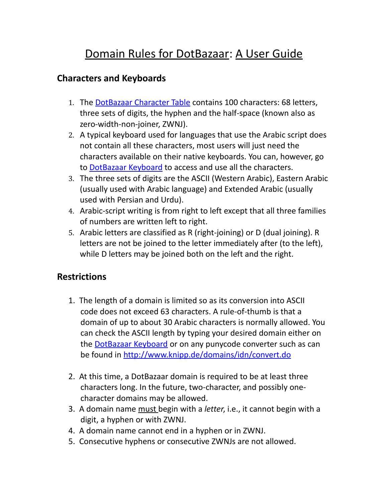## Domain Rules for DotBazaar: A User Guide

## **Characters and Keyboards**

- 1. The [DotBazaar Character Table](http://keyboard.nic.xn--mgbab2bd/javax.faces.resource/pdf/DotBazaar_Character_Table.pdf) contains 100 characters: 68 letters, three sets of digits, the hyphen and the half-space (known also as zero-width-non-joiner, ZWNJ).
- 2. A typical keyboard used for languages that use the Arabic script does not contain all these characters, most users will just need the characters available on their native keyboards. You can, however, go to [DotBazaar Keyboard](http://keyboard.nic.xn--mgbab2bd/) to access and use all the characters.
- 3. The three sets of digits are the ASCII (Western Arabic), Eastern Arabic (usually used with Arabic language) and Extended Arabic (usually used with Persian and Urdu).
- 4. Arabic-script writing is from right to left except that all three families of numbers are written left to right.
- 5. Arabic letters are classified as R (right-joining) or D (dual joining). R letters are not be joined to the letter immediately after (to the left), while D letters may be joined both on the left and the right.

## **Restrictions**

- 1. The length of a domain is limited so as its conversion into ASCII code does not exceed 63 characters. A rule-of-thumb is that a domain of up to about 30 Arabic characters is normally allowed. You can check the ASCII length by typing your desired domain either on the **DotBazaar Keyboard** or on any punycode converter such as can be found in<http://www.knipp.de/domains/idn/convert.do>
- 2. At this time, a DotBazaar domain is required to be at least three characters long. In the future, two-character, and possibly one character domains may be allowed.
- 3. A domain name must begin with a *letter*, i.e., it cannot begin with a digit, a hyphen or with ZWNJ.
- 4. A domain name cannot end in a hyphen or in ZWNJ.
- 5. Consecutive hyphens or consecutive ZWNJs are not allowed.